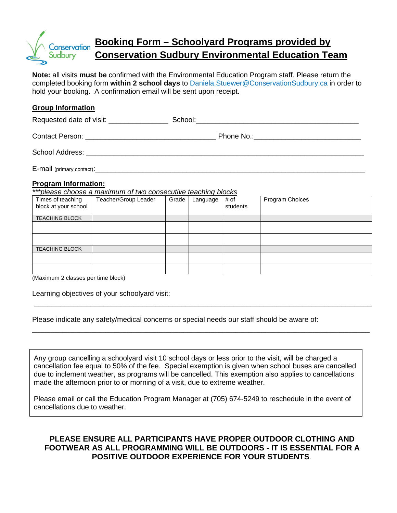

# **Booking Form – Schoolyard Programs provided by Conservation Sudbury Environmental Education Team**

**Note:** all visits **must be** confirmed with the Environmental Education Program staff. Please return the completed booking form **within 2 school days** to Daniela.Stuewer@ConservationSudbury.ca in order to hold your booking. A confirmation email will be sent upon receipt.

#### **Group Information**

Requested date of visit: \_\_\_\_\_\_\_\_\_\_\_\_\_\_\_ School:\_\_\_\_\_\_\_\_\_\_\_\_\_\_\_\_\_\_\_\_\_\_\_\_\_\_\_\_\_\_\_\_\_\_\_\_\_\_\_\_\_ Contact Person: example and the example of Phone No.: School Address: \_\_\_\_\_\_\_\_\_\_\_\_\_\_\_\_\_\_\_\_\_\_\_\_\_\_\_\_\_\_\_\_\_\_\_\_\_\_\_\_\_\_\_\_\_\_\_\_\_\_\_\_\_\_\_\_\_\_\_\_\_\_\_\_\_\_\_\_\_\_  $E$ -mail (primary contact):  $\Box$ 

#### **Program Information:**

*\*\*\*please choose a maximum of two consecutive teaching blocks* 

| Times of teaching<br>block at your school | Teacher/Group Leader | Grade | Language | # of<br>students | Program Choices |
|-------------------------------------------|----------------------|-------|----------|------------------|-----------------|
| <b>TEACHING BLOCK</b>                     |                      |       |          |                  |                 |
|                                           |                      |       |          |                  |                 |
|                                           |                      |       |          |                  |                 |
| <b>TEACHING BLOCK</b>                     |                      |       |          |                  |                 |
|                                           |                      |       |          |                  |                 |
| $\sim$ $\sim$ $\sim$                      |                      |       |          |                  |                 |

\_\_\_\_\_\_\_\_\_\_\_\_\_\_\_\_\_\_\_\_\_\_\_\_\_\_\_\_\_\_\_\_\_\_\_\_\_\_\_\_\_\_\_\_\_\_\_\_\_\_\_\_\_\_\_\_\_\_\_\_\_\_\_\_\_\_\_\_\_\_\_\_\_\_\_\_\_\_

\_\_\_\_\_\_\_\_\_\_\_\_\_\_\_\_\_\_\_\_\_\_\_\_\_\_\_\_\_\_\_\_\_\_\_\_\_\_\_\_\_\_\_\_\_\_\_\_\_\_\_\_\_\_\_\_\_\_\_\_\_\_\_\_\_\_\_\_\_\_\_\_\_\_\_\_\_\_

(Maximum 2 classes per time block)

Learning objectives of your schoolyard visit:

Please indicate any safety/medical concerns or special needs our staff should be aware of:

Any group cancelling a schoolyard visit 10 school days or less prior to the visit, will be charged a cancellation fee equal to 50% of the fee. Special exemption is given when school buses are cancelled due to inclement weather, as programs will be cancelled. This exemption also applies to cancellations made the afternoon prior to or morning of a visit, due to extreme weather.

Please email or call the Education Program Manager at (705) 674-5249 to reschedule in the event of cancellations due to weather.

## **PLEASE ENSURE ALL PARTICIPANTS HAVE PROPER OUTDOOR CLOTHING AND FOOTWEAR AS ALL PROGRAMMING WILL BE OUTDOORS - IT IS ESSENTIAL FOR A POSITIVE OUTDOOR EXPERIENCE FOR YOUR STUDENTS.**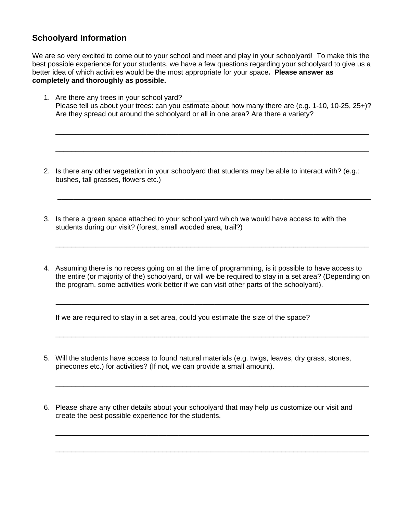## **Schoolyard Information**

We are so very excited to come out to your school and meet and play in your schoolyard! To make this the best possible experience for your students, we have a few questions regarding your schoolyard to give us a better idea of which activities would be the most appropriate for your space**. Please answer as completely and thoroughly as possible.**

1. Are there any trees in your school yard? \_\_\_\_\_\_\_\_ Please tell us about your trees: can you estimate about how many there are (e.g. 1-10, 10-25, 25+)? Are they spread out around the schoolyard or all in one area? Are there a variety?

\_\_\_\_\_\_\_\_\_\_\_\_\_\_\_\_\_\_\_\_\_\_\_\_\_\_\_\_\_\_\_\_\_\_\_\_\_\_\_\_\_\_\_\_\_\_\_\_\_\_\_\_\_\_\_\_\_\_\_\_\_\_\_\_\_\_\_\_\_\_\_\_\_\_\_\_\_\_\_

\_\_\_\_\_\_\_\_\_\_\_\_\_\_\_\_\_\_\_\_\_\_\_\_\_\_\_\_\_\_\_\_\_\_\_\_\_\_\_\_\_\_\_\_\_\_\_\_\_\_\_\_\_\_\_\_\_\_\_\_\_\_\_\_\_\_\_\_\_\_\_\_\_\_\_\_\_\_\_

\_\_\_\_\_\_\_\_\_\_\_\_\_\_\_\_\_\_\_\_\_\_\_\_\_\_\_\_\_\_\_\_\_\_\_\_\_\_\_\_\_\_\_\_\_\_\_\_\_\_\_\_\_\_\_\_\_\_\_\_\_\_\_\_\_\_\_\_\_\_\_\_\_\_\_\_\_\_\_

\_\_\_\_\_\_\_\_\_\_\_\_\_\_\_\_\_\_\_\_\_\_\_\_\_\_\_\_\_\_\_\_\_\_\_\_\_\_\_\_\_\_\_\_\_\_\_\_\_\_\_\_\_\_\_\_\_\_\_\_\_\_\_\_\_\_\_\_\_\_\_\_\_\_\_\_\_\_\_

- 2. Is there any other vegetation in your schoolyard that students may be able to interact with? (e.g.: bushes, tall grasses, flowers etc.)
- 3. Is there a green space attached to your school yard which we would have access to with the students during our visit? (forest, small wooded area, trail?)
- 4. Assuming there is no recess going on at the time of programming, is it possible to have access to the entire (or majority of the) schoolyard, or will we be required to stay in a set area? (Depending on the program, some activities work better if we can visit other parts of the schoolyard).

 $\overline{\phantom{a}}$  , and the contribution of the contribution of the contribution of the contribution of the contribution of the contribution of the contribution of the contribution of the contribution of the contribution of the

\_\_\_\_\_\_\_\_\_\_\_\_\_\_\_\_\_\_\_\_\_\_\_\_\_\_\_\_\_\_\_\_\_\_\_\_\_\_\_\_\_\_\_\_\_\_\_\_\_\_\_\_\_\_\_\_\_\_\_\_\_\_\_\_\_\_\_\_\_\_\_\_\_\_\_\_\_\_\_

\_\_\_\_\_\_\_\_\_\_\_\_\_\_\_\_\_\_\_\_\_\_\_\_\_\_\_\_\_\_\_\_\_\_\_\_\_\_\_\_\_\_\_\_\_\_\_\_\_\_\_\_\_\_\_\_\_\_\_\_\_\_\_\_\_\_\_\_\_\_\_\_\_\_\_\_\_\_\_

\_\_\_\_\_\_\_\_\_\_\_\_\_\_\_\_\_\_\_\_\_\_\_\_\_\_\_\_\_\_\_\_\_\_\_\_\_\_\_\_\_\_\_\_\_\_\_\_\_\_\_\_\_\_\_\_\_\_\_\_\_\_\_\_\_\_\_\_\_\_\_\_\_\_\_\_\_\_\_

\_\_\_\_\_\_\_\_\_\_\_\_\_\_\_\_\_\_\_\_\_\_\_\_\_\_\_\_\_\_\_\_\_\_\_\_\_\_\_\_\_\_\_\_\_\_\_\_\_\_\_\_\_\_\_\_\_\_\_\_\_\_\_\_\_\_\_\_\_\_\_\_\_\_\_\_\_\_\_

If we are required to stay in a set area, could you estimate the size of the space?

- 5. Will the students have access to found natural materials (e.g. twigs, leaves, dry grass, stones, pinecones etc.) for activities? (If not, we can provide a small amount).
- 6. Please share any other details about your schoolyard that may help us customize our visit and create the best possible experience for the students.